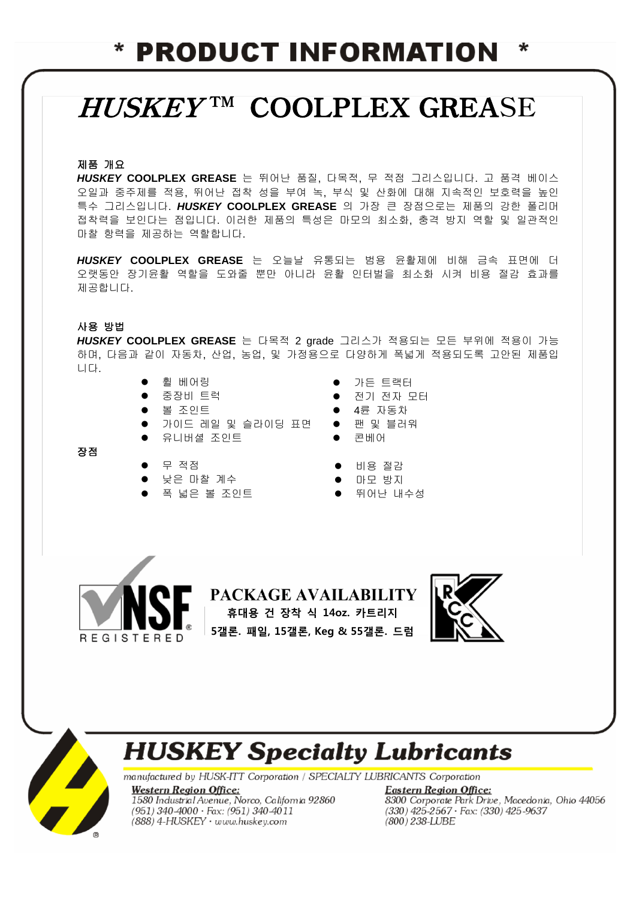### **PRODUCT INFORMATION** ∗

# HUSKEY<sup>TM</sup> COOLPLEX GREASE

### 제품 개요

*HUSKEY* **COOLPLEX GREASE** 는 뛰어난 품질, 다목적, 무 적점 그리스입니다. 고 품격 베이스 오일과 중주제를 적용, 뛰어난 접착 성을 부여 녹, 부식 및 산화에 대해 지속적인 보호력을 높인 특수 그리스입니다. *HUSKEY* **COOLPLEX GREASE** 의 가장 큰 장점으로는 제품의 강한 폴리머 접착력을 보인다는 점입니다. 이러한 제품의 특성은 마모의 최소화, 충격 방지 역할 및 일관적인 마찰 항력을 제공하는 역할합니다.

*HUSKEY* **COOLPLEX GREASE** 는 오늘날 유통되는 범용 윤활제에 비해 금속 표면에 더 오랫동안 장기윤활 역할을 도와줄 뿐만 아니라 윤활 인터벌을 최소화 시켜 비용 절감 효과를 제공합니다.

#### 사용 방법

장점

*HUSKEY* **COOLPLEX GREASE** 는 다목적 2 grade 그리스가 적용되는 모든 부위에 적용이 가능 하며, 다음과 같이 자동차, 산업, 농업, 및 가정용으로 다양하게 폭넓게 적용되도록 고안된 제품입 니다.

- 휠 베어링
- 중장비 트럭

무 적점

- 볼 조인트
- 가이드 레일 및 슬라이딩 표면
- 유니버셜 조인트

 낮은 마찰 계수 폭 넓은 볼 조인트

- 전기 전자 모터 4륜 자동차
- 팬 및 블러워

가든 트랙터

- 콘베어
- 비용 절감
- 마모 방지
- 뛰어난 내수성



PACKAGE AVAILABILITY 휴대용 건 장착 식 14oz. 카트리지 5갤론. 패일, 15갤론, Keg & 55갤론. 드럼





### **HUSKEY Specialty Lubricants**

manufactured by HUSK-ITT Corporation / SPECIALTY LUBRICANTS Corporation

**Western Region Office:** 1580 Industrial Avenue, Norco, California 92860 (951) 340-4000 · Fax: (951) 340-4011 (888) 4-HUSKEY · www.huskey.com

**Eastern Region Office:** 8300 Corporate Park Drive, Macedonia, Ohio 44056  $(330)$  425-2567 · Fax:  $(330)$  425-9637 (800) 238-LUBE